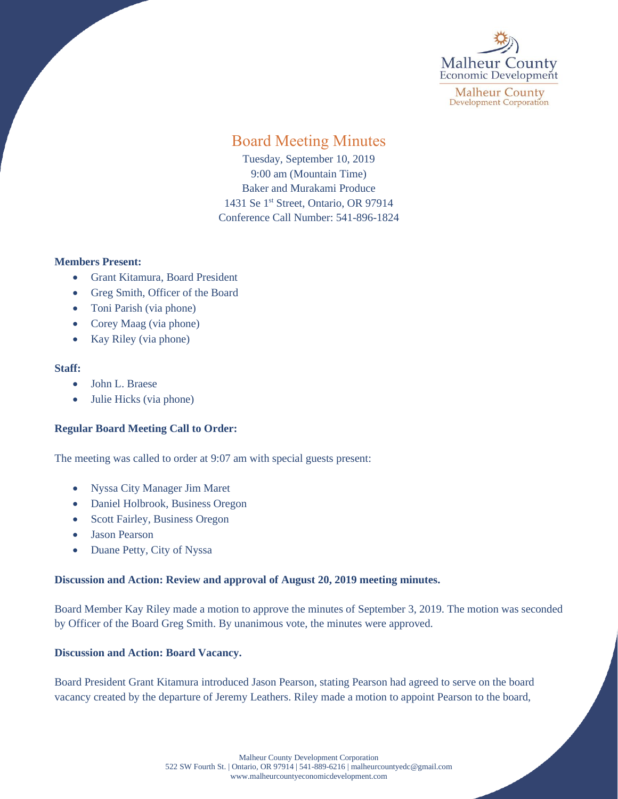

**Malheur County Development Corporation** 

# Board Meeting Minutes

Tuesday, September 10, 2019 9:00 am (Mountain Time) Baker and Murakami Produce 1431 Se 1<sup>st</sup> Street, Ontario, OR 97914 Conference Call Number: 541-896-1824

#### **Members Present:**

- Grant Kitamura, Board President
- Greg Smith, Officer of the Board
- Toni Parish (via phone)
- Corey Maag (via phone)
- Kay Riley (via phone)

#### **Staff:**

- John L. Braese
- Julie Hicks (via phone)

### **Regular Board Meeting Call to Order:**

The meeting was called to order at 9:07 am with special guests present:

- Nyssa City Manager Jim Maret
- Daniel Holbrook, Business Oregon
- Scott Fairley, Business Oregon
- Jason Pearson
- Duane Petty, City of Nyssa

### **Discussion and Action: Review and approval of August 20, 2019 meeting minutes.**

Board Member Kay Riley made a motion to approve the minutes of September 3, 2019. The motion was seconded by Officer of the Board Greg Smith. By unanimous vote, the minutes were approved.

### **Discussion and Action: Board Vacancy.**

Board President Grant Kitamura introduced Jason Pearson, stating Pearson had agreed to serve on the board vacancy created by the departure of Jeremy Leathers. Riley made a motion to appoint Pearson to the board,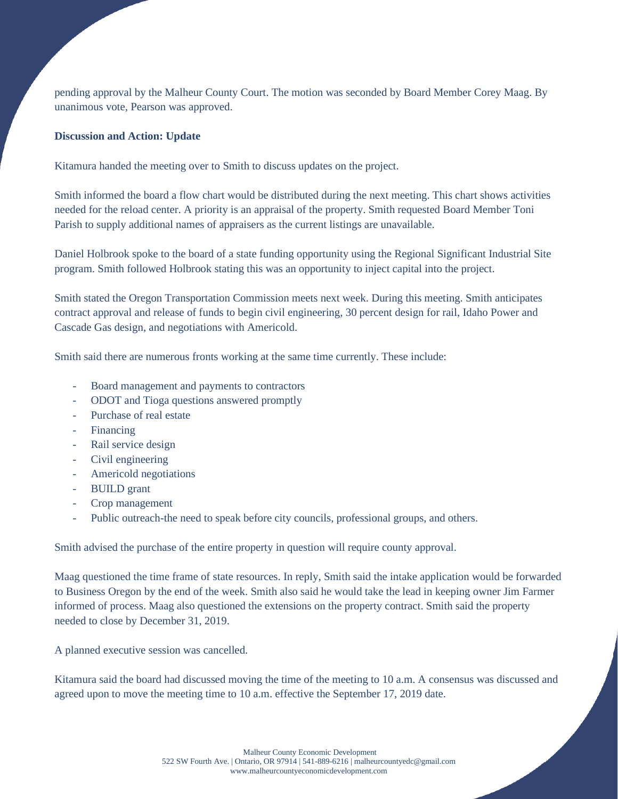pending approval by the Malheur County Court. The motion was seconded by Board Member Corey Maag. By unanimous vote, Pearson was approved.

## **Discussion and Action: Update**

Kitamura handed the meeting over to Smith to discuss updates on the project.

Smith informed the board a flow chart would be distributed during the next meeting. This chart shows activities needed for the reload center. A priority is an appraisal of the property. Smith requested Board Member Toni Parish to supply additional names of appraisers as the current listings are unavailable.

Daniel Holbrook spoke to the board of a state funding opportunity using the Regional Significant Industrial Site program. Smith followed Holbrook stating this was an opportunity to inject capital into the project.

Smith stated the Oregon Transportation Commission meets next week. During this meeting. Smith anticipates contract approval and release of funds to begin civil engineering, 30 percent design for rail, Idaho Power and Cascade Gas design, and negotiations with Americold.

Smith said there are numerous fronts working at the same time currently. These include:

- Board management and payments to contractors
- ODOT and Tioga questions answered promptly
- Purchase of real estate
- Financing
- Rail service design
- Civil engineering
- Americold negotiations
- BUILD grant
- Crop management
- Public outreach-the need to speak before city councils, professional groups, and others.

Smith advised the purchase of the entire property in question will require county approval.

Maag questioned the time frame of state resources. In reply, Smith said the intake application would be forwarded to Business Oregon by the end of the week. Smith also said he would take the lead in keeping owner Jim Farmer informed of process. Maag also questioned the extensions on the property contract. Smith said the property needed to close by December 31, 2019.

A planned executive session was cancelled.

Kitamura said the board had discussed moving the time of the meeting to 10 a.m. A consensus was discussed and agreed upon to move the meeting time to 10 a.m. effective the September 17, 2019 date.